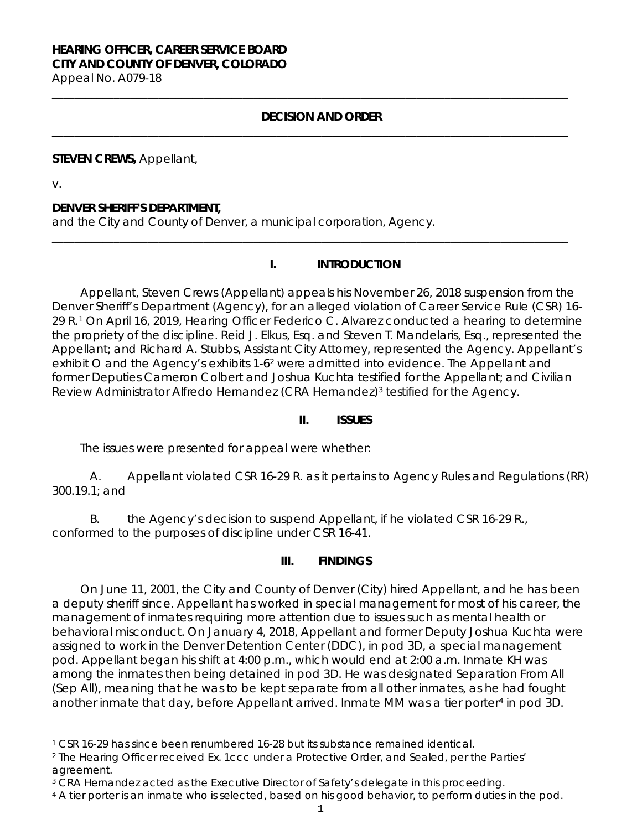# **HEARING OFFICER, CAREER SERVICE BOARD CITY AND COUNTY OF DENVER, COLORADO**

Appeal No. A079-18

#### **DECISION AND ORDER**

**\_\_\_\_\_\_\_\_\_\_\_\_\_\_\_\_\_\_\_\_\_\_\_\_\_\_\_\_\_\_\_\_\_\_\_\_\_\_\_\_\_\_\_\_\_\_\_\_\_\_\_\_\_\_\_\_\_\_\_\_\_\_\_\_\_\_\_\_\_\_\_\_\_\_\_\_\_\_\_\_\_\_\_\_\_\_\_\_\_\_\_\_**

**\_\_\_\_\_\_\_\_\_\_\_\_\_\_\_\_\_\_\_\_\_\_\_\_\_\_\_\_\_\_\_\_\_\_\_\_\_\_\_\_\_\_\_\_\_\_\_\_\_\_\_\_\_\_\_\_\_\_\_\_\_\_\_\_\_\_\_\_\_\_\_\_\_\_\_\_\_\_\_\_\_\_\_\_\_\_\_\_\_\_\_\_**

**\_\_\_\_\_\_\_\_\_\_\_\_\_\_\_\_\_\_\_\_\_\_\_\_\_\_\_\_\_\_\_\_\_\_\_\_\_\_\_\_\_\_\_\_\_\_\_\_\_\_\_\_\_\_\_\_\_\_\_\_\_\_\_\_\_\_\_\_\_\_\_\_\_\_\_\_\_\_\_\_\_\_\_\_\_\_\_\_\_\_\_\_**

**STEVEN CREWS,** Appellant,

v.

#### **DENVER SHERIFF'S DEPARTMENT,**

and the City and County of Denver, a municipal corporation, Agency.

### **I. INTRODUCTION**

Appellant, Steven Crews (Appellant) appeals his November 26, 2018 suspension from the Denver Sheriff's Department (Agency), for an alleged violation of Career Service Rule (CSR) 16- 29 R.[1](#page-0-0) On April 16, 2019, Hearing Officer Federico C. Alvarez conducted a hearing to determine the propriety of the discipline. Reid J. Elkus, Esq. and Steven T. Mandelaris, Esq., represented the Appellant; and Richard A. Stubbs, Assistant City Attorney, represented the Agency. Appellant's exhibit O and the Agency's exhibits 1-6<sup>[2](#page-0-1)</sup> were admitted into evidence. The Appellant and former Deputies Cameron Colbert and Joshua Kuchta testified for the Appellant; and Civilian Review Administrator Alfredo Hernandez (CRA Hernandez)<sup>[3](#page-0-2)</sup> testified for the Agency.

#### **II. ISSUES**

The issues were presented for appeal were whether:

A. Appellant violated CSR 16-29 R. as it pertains to Agency Rules and Regulations (RR) 300.19.1; and

B. the Agency's decision to suspend Appellant, if he violated CSR 16-29 R., conformed to the purposes of discipline under CSR 16-41.

#### **III. FINDINGS**

On June 11, 2001, the City and County of Denver (City) hired Appellant, and he has been a deputy sheriff since. Appellant has worked in special management for most of his career, the management of inmates requiring more attention due to issues such as mental health or behavioral misconduct. On January 4, 2018, Appellant and former Deputy Joshua Kuchta were assigned to work in the Denver Detention Center (DDC), in pod 3D, a special management pod. Appellant began his shift at 4:00 p.m., which would end at 2:00 a.m. Inmate KH was among the inmates then being detained in pod 3D. He was designated Separation From All (Sep All), meaning that he was to be kept separate from all other inmates, as he had fought another inmate that day, before Appellant arrived. Inmate MM was a tier porter<sup>[4](#page-0-3)</sup> in pod 3D.

<span id="page-0-0"></span>i <sup>1</sup> CSR 16-29 has since been renumbered 16-28 but its substance remained identical.

<span id="page-0-1"></span><sup>2</sup> The Hearing Officer received Ex. 1ccc under a Protective Order, and Sealed, per the Parties' agreement.

<span id="page-0-2"></span><sup>&</sup>lt;sup>3</sup> CRA Hernandez acted as the Executive Director of Safety's delegate in this proceeding.

<span id="page-0-3"></span><sup>4</sup> A tier porter is an inmate who is selected, based on his good behavior, to perform duties in the pod.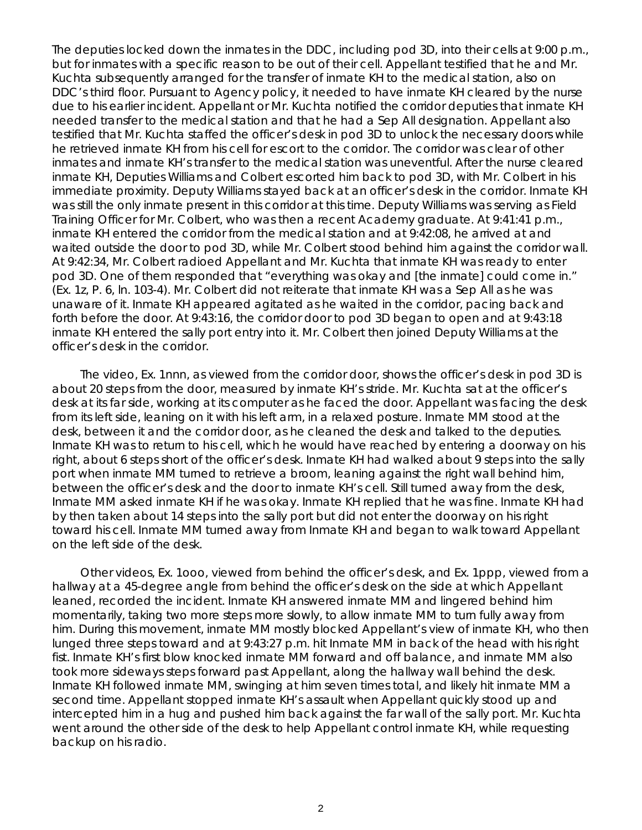The deputies locked down the inmates in the DDC, including pod 3D, into their cells at 9:00 p.m., but for inmates with a specific reason to be out of their cell. Appellant testified that he and Mr. Kuchta subsequently arranged for the transfer of inmate KH to the medical station, also on DDC's third floor. Pursuant to Agency policy, it needed to have inmate KH cleared by the nurse due to his earlier incident. Appellant or Mr. Kuchta notified the corridor deputies that inmate KH needed transfer to the medical station and that he had a Sep All designation. Appellant also testified that Mr. Kuchta staffed the officer's desk in pod 3D to unlock the necessary doors while he retrieved inmate KH from his cell for escort to the corridor. The corridor was clear of other inmates and inmate KH's transfer to the medical station was uneventful. After the nurse cleared inmate KH, Deputies Williams and Colbert escorted him back to pod 3D, with Mr. Colbert in his immediate proximity. Deputy Williams stayed back at an officer's desk in the corridor. Inmate KH was still the only inmate present in this corridor at this time. Deputy Williams was serving as Field Training Officer for Mr. Colbert, who was then a recent Academy graduate. At 9:41:41 p.m., inmate KH entered the corridor from the medical station and at 9:42:08, he arrived at and waited outside the door to pod 3D, while Mr. Colbert stood behind him against the corridor wall. At 9:42:34, Mr. Colbert radioed Appellant and Mr. Kuchta that inmate KH was ready to enter pod 3D. One of them responded that "everything was okay and [the inmate] could come in." (Ex. 1z, P. 6, ln. 103-4). Mr. Colbert did not reiterate that inmate KH was a Sep All as he was unaware of it. Inmate KH appeared agitated as he waited in the corridor, pacing back and forth before the door. At 9:43:16, the corridor door to pod 3D began to open and at 9:43:18 inmate KH entered the sally port entry into it. Mr. Colbert then joined Deputy Williams at the officer's desk in the corridor.

The video, Ex. 1nnn, as viewed from the corridor door, shows the officer's desk in pod 3D is about 20 steps from the door, measured by inmate KH's stride. Mr. Kuchta sat at the officer's desk at its far side, working at its computer as he faced the door. Appellant was facing the desk from its left side, leaning on it with his left arm, in a relaxed posture. Inmate MM stood at the desk, between it and the corridor door, as he cleaned the desk and talked to the deputies. Inmate KH was to return to his cell, which he would have reached by entering a doorway on his right, about 6 steps short of the officer's desk. Inmate KH had walked about 9 steps into the sally port when inmate MM turned to retrieve a broom, leaning against the right wall behind him, between the officer's desk and the door to inmate KH's cell. Still turned away from the desk, Inmate MM asked inmate KH if he was okay. Inmate KH replied that he was fine. Inmate KH had by then taken about 14 steps into the sally port but did not enter the doorway on his right toward his cell. Inmate MM turned away from Inmate KH and began to walk toward Appellant on the left side of the desk.

Other videos, Ex. 1ooo, viewed from behind the officer's desk, and Ex. 1ppp, viewed from a hallway at a 45-degree angle from behind the officer's desk on the side at which Appellant leaned, recorded the incident. Inmate KH answered inmate MM and lingered behind him momentarily, taking two more steps more slowly, to allow inmate MM to turn fully away from him. During this movement, inmate MM mostly blocked Appellant's view of inmate KH, who then lunged three steps toward and at 9:43:27 p.m. hit Inmate MM in back of the head with his right fist. Inmate KH's first blow knocked inmate MM forward and off balance, and inmate MM also took more sideways steps forward past Appellant, along the hallway wall behind the desk. Inmate KH followed inmate MM, swinging at him seven times total, and likely hit inmate MM a second time. Appellant stopped inmate KH's assault when Appellant quickly stood up and intercepted him in a hug and pushed him back against the far wall of the sally port. Mr. Kuchta went around the other side of the desk to help Appellant control inmate KH, while requesting backup on his radio.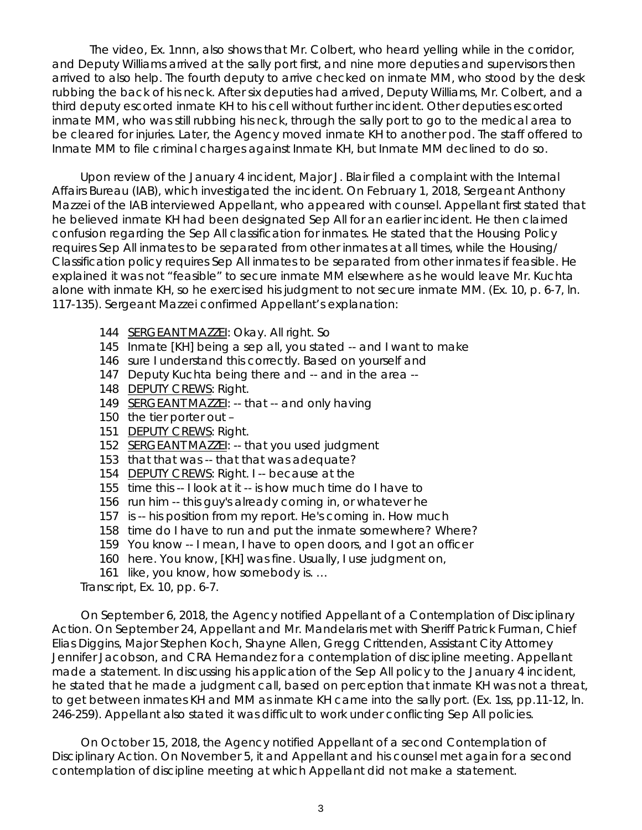The video, Ex. 1nnn, also shows that Mr. Colbert, who heard yelling while in the corridor, and Deputy Williams arrived at the sally port first, and nine more deputies and supervisors then arrived to also help. The fourth deputy to arrive checked on inmate MM, who stood by the desk rubbing the back of his neck. After six deputies had arrived, Deputy Williams, Mr. Colbert, and a third deputy escorted inmate KH to his cell without further incident. Other deputies escorted inmate MM, who was still rubbing his neck, through the sally port to go to the medical area to be cleared for injuries. Later, the Agency moved inmate KH to another pod. The staff offered to Inmate MM to file criminal charges against Inmate KH, but Inmate MM declined to do so.

Upon review of the January 4 incident, Major J. Blair filed a complaint with the Internal Affairs Bureau (IAB), which investigated the incident. On February 1, 2018, Sergeant Anthony Mazzei of the IAB interviewed Appellant, who appeared with counsel. Appellant first stated that he believed inmate KH had been designated Sep All for an earlier incident. He then claimed confusion regarding the Sep All classification for inmates. He stated that the Housing Policy requires Sep All inmates to be separated from other inmates at all times, while the Housing/ Classification policy requires Sep All inmates to be separated from other inmates if feasible. He explained it was not "feasible" to secure inmate MM elsewhere as he would leave Mr. Kuchta alone with inmate KH, so he exercised his judgment to not secure inmate MM. (Ex. 10, p. 6-7, ln. 117-135). Sergeant Mazzei confirmed Appellant's explanation:

- 144 SERGEANT MAZZEI: Okay. All right. So
- 145 Inmate [KH] being a sep all, you stated -- and I want to make
- 146 sure I understand this correctly. Based on yourself and
- 147 Deputy Kuchta being there and -- and in the area --
- 148 DEPUTY CREWS: Right.
- 149 SERGEANT MAZZEI: -- that -- and only having
- 150 the tier porter out –
- 151 DEPUTY CREWS: Right.
- 152 SERGEANT MAZZEI: -- that you used judgment
- 153 that that was -- that that was adequate?
- 154 DEPUTY CREWS: Right. I -- because at the
- 155 time this -- I look at it -- is how much time do I have to
- 156 run him -- this guy's already coming in, or whatever he
- 157 is -- his position from my report. He's coming in. How much
- 158 time do I have to run and put the inmate somewhere? Where?
- 159 You know -- I mean, I have to open doors, and I got an officer
- 160 here. You know, [KH] was fine. Usually, I use judgment on,
- 161 like, you know, how somebody is. ...

Transcript, Ex. 10, pp. 6-7.

On September 6, 2018, the Agency notified Appellant of a Contemplation of Disciplinary Action. On September 24, Appellant and Mr. Mandelaris met with Sheriff Patrick Furman, Chief Elias Diggins, Major Stephen Koch, Shayne Allen, Gregg Crittenden, Assistant City Attorney Jennifer Jacobson, and CRA Hernandez for a contemplation of discipline meeting. Appellant made a statement. In discussing his application of the Sep All policy to the January 4 incident, he stated that he made a judgment call, based on perception that inmate KH was not a threat, to get between inmates KH and MM as inmate KH came into the sally port. (Ex. 1ss, pp.11-12, ln. 246-259). Appellant also stated it was difficult to work under conflicting Sep All policies.

On October 15, 2018, the Agency notified Appellant of a second Contemplation of Disciplinary Action. On November 5, it and Appellant and his counsel met again for a second contemplation of discipline meeting at which Appellant did not make a statement.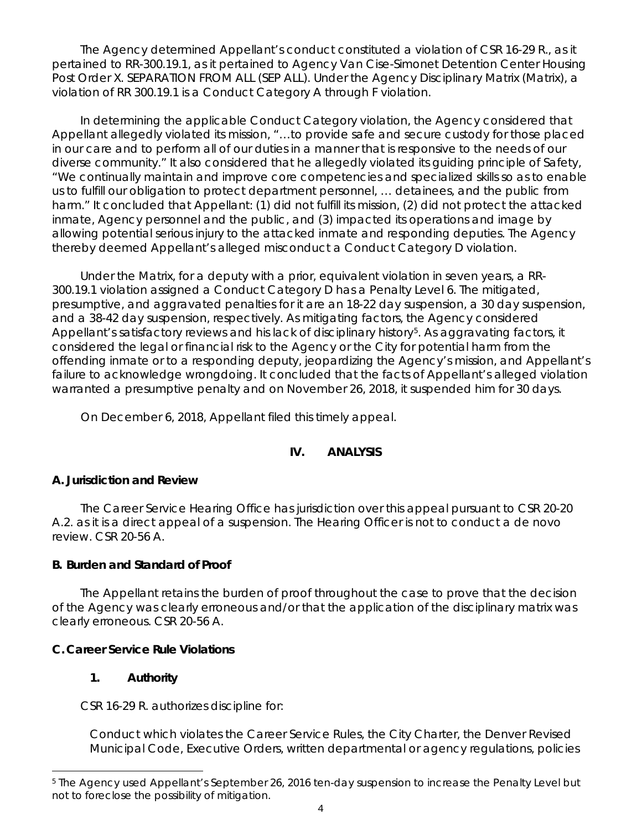The Agency determined Appellant's conduct constituted a violation of CSR 16-29 R., as it pertained to RR-300.19.1, as it pertained to Agency Van Cise-Simonet Detention Center Housing Post Order X. SEPARATION FROM ALL (SEP ALL). Under the Agency Disciplinary Matrix (Matrix), a violation of RR 300.19.1 is a Conduct Category A through F violation.

In determining the applicable Conduct Category violation, the Agency considered that Appellant allegedly violated its mission, "…to provide safe and secure custody for those placed in our care and to perform all of our duties in a manner that is responsive to the needs of our diverse community." It also considered that he allegedly violated its guiding principle of Safety, "We continually maintain and improve core competencies and specialized skills so as to enable us to fulfill our obligation to protect department personnel, … detainees, and the public from harm." It concluded that Appellant: (1) did not fulfill its mission, (2) did not protect the attacked inmate, Agency personnel and the public, and (3) impacted its operations and image by allowing potential serious injury to the attacked inmate and responding deputies. The Agency thereby deemed Appellant's alleged misconduct a Conduct Category D violation.

Under the Matrix, for a deputy with a prior, equivalent violation in seven years, a RR-300.19.1 violation assigned a Conduct Category D has a Penalty Level 6. The mitigated, presumptive, and aggravated penalties for it are an 18-22 day suspension, a 30 day suspension, and a 38-42 day suspension, respectively. As mitigating factors, the Agency considered Appellant's satisfactory reviews and his lack of disciplinary history<sup>5</sup>. As aggravating factors, it considered the legal or financial risk to the Agency or the City for potential harm from the offending inmate or to a responding deputy, jeopardizing the Agency's mission, and Appellant's failure to acknowledge wrongdoing. It concluded that the facts of Appellant's alleged violation warranted a presumptive penalty and on November 26, 2018, it suspended him for 30 days.

On December 6, 2018, Appellant filed this timely appeal.

# **IV. ANALYSIS**

# **A. Jurisdiction and Review**

The Career Service Hearing Office has jurisdiction over this appeal pursuant to CSR 20-20 A.2. as it is a direct appeal of a suspension. The Hearing Officer is not to conduct a *de novo* review. CSR 20-56 A.

# **B. Burden and Standard of Proof**

The Appellant retains the burden of proof throughout the case to prove that the decision of the Agency was clearly erroneous and/or that the application of the disciplinary matrix was clearly erroneous. CSR 20-56 A.

# **C. Career Service Rule Violations**

# **1. Authority**

CSR 16-29 R. authorizes discipline for:

Conduct which violates the Career Service Rules, the City Charter, the Denver Revised Municipal Code, Executive Orders, written departmental or agency regulations, policies

<span id="page-3-0"></span>i <sup>5</sup> The Agency used Appellant's September 26, 2016 ten-day suspension to increase the Penalty Level but not to foreclose the possibility of mitigation.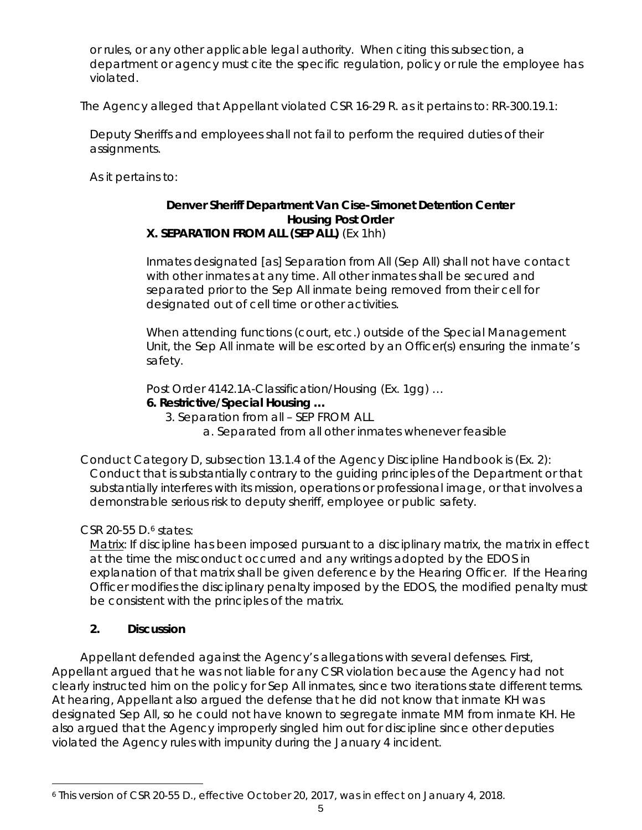or rules, or any other applicable legal authority. When citing this subsection, a department or agency must cite the specific regulation, policy or rule the employee has violated.

The Agency alleged that Appellant violated CSR 16-29 R. as it pertains to: RR-300.19.1:

Deputy Sheriffs and employees shall not fail to perform the required duties of their assignments.

As it pertains to:

### **Denver Sheriff Department Van Cise-Simonet Detention Center Housing Post Order X. SEPARATION FROM ALL (SEP ALL)** (Ex 1hh)

Inmates designated [as] Separation from All (Sep All) shall not have contact with other inmates at any time. All other inmates shall be secured and separated prior to the Sep All inmate being removed from their cell for designated out of cell time or other activities.

When attending functions (court, etc.) outside of the Special Management Unit, the Sep All inmate will be escorted by an Officer(s) ensuring the inmate's safety.

Post Order 4142.1A-Classification/Housing (Ex. 1gg) …

### **6. Restrictive/Special Housing …**

3. Separation from all – SEP FROM ALL

a. Separated from all other inmates whenever feasible

Conduct Category D, subsection 13.1.4 of the Agency Discipline Handbook is (Ex. 2): Conduct that is substantially contrary to the guiding principles of the Department or that substantially interferes with its mission, operations or professional image, or that involves a demonstrable serious risk to deputy sheriff, employee or public safety.

# CSR 20-55 D.[6](#page-4-0) states:

Matrix: If discipline has been imposed pursuant to a disciplinary matrix, the matrix in effect at the time the misconduct occurred and any writings adopted by the EDOS in explanation of that matrix shall be given deference by the Hearing Officer. If the Hearing Officer modifies the disciplinary penalty imposed by the EDOS, the modified penalty must be consistent with the principles of the matrix.

# **2. Discussion**

Appellant defended against the Agency's allegations with several defenses. First, Appellant argued that he was not liable for any CSR violation because the Agency had not clearly instructed him on the policy for Sep All inmates, since two iterations state different terms. At hearing, Appellant also argued the defense that he did not know that inmate KH was designated Sep All, so he could not have known to segregate inmate MM from inmate KH. He also argued that the Agency improperly singled him out for discipline since other deputies violated the Agency rules with impunity during the January 4 incident.

<span id="page-4-0"></span>i <sup>6</sup> This version of CSR 20-55 D., effective October 20, 2017, was in effect on January 4, 2018.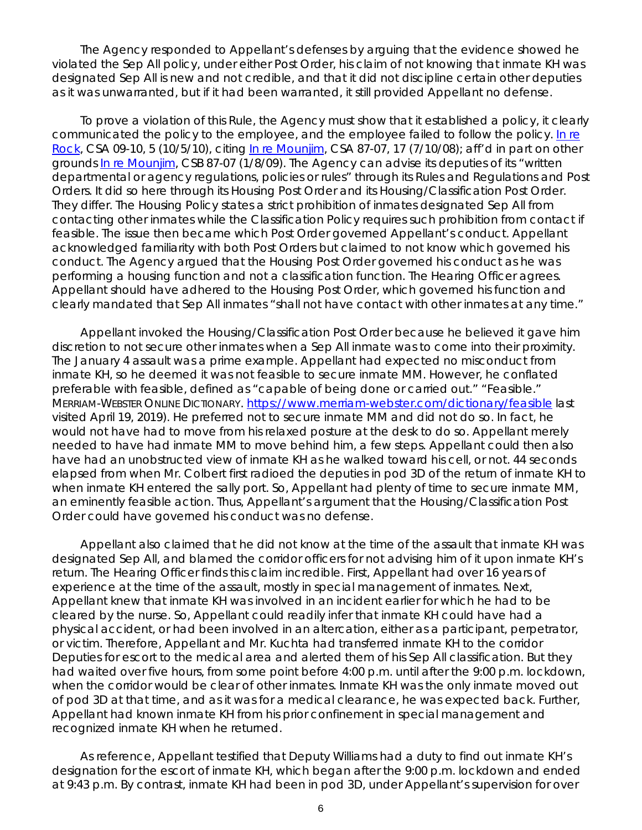The Agency responded to Appellant's defenses by arguing that the evidence showed he violated the Sep All policy, under either Post Order, his claim of not knowing that inmate KH was designated Sep All is new and not credible, and that it did not discipline certain other deputies as it was unwarranted, but if it had been warranted, it still provided Appellant no defense.

To prove a violation of this Rule, the Agency must show that it established a policy, it clearly communicated the policy to the employee, and the employee failed to follow the policy. [In re](https://www.denvergov.org/content/dam/denvergov/Portals/hearings_office/documents/Hearings/Rock,_Laura_09-10_Decision.pdf)  [Rock,](https://www.denvergov.org/content/dam/denvergov/Portals/hearings_office/documents/Hearings/Rock,_Laura_09-10_Decision.pdf) CSA 09-10, 5 (10/5/10), *citing* [In re Mounjim,](https://www.denvergov.org/content/dam/denvergov/Portals/hearings_office/documents/Hearings/Mounjim_Ronalda_87-07_Decision.pdf) CSA 87-07, 17 (7/10/08); *aff'd in part on other grounds* [In re Mounjim,](https://www.denvergov.org/content/dam/denvergov/Portals/hearings_office/documents/Hearings/Mounjim_Ronalda_87-07_Board_Findings_and_Order.pdf) CSB 87-07 (1/8/09). The Agency can advise its deputies of its "written departmental or agency regulations, policies or rules" through its Rules and Regulations and Post Orders. It did so here through its Housing Post Order and its Housing/Classification Post Order. They differ. The Housing Policy states a strict prohibition of inmates designated Sep All from contacting other inmates while the Classification Policy requires such prohibition from contact if feasible. The issue then became which Post Order governed Appellant's conduct. Appellant acknowledged familiarity with both Post Orders but claimed to not know which governed his conduct. The Agency argued that the Housing Post Order governed his conduct as he was performing a housing function and not a classification function. The Hearing Officer agrees. Appellant should have adhered to the Housing Post Order, which governed his function and clearly mandated that Sep All inmates "shall not have contact with other inmates at any time."

Appellant invoked the Housing/Classification Post Order because he believed it gave him discretion to not secure other inmates when a Sep All inmate was to come into their proximity. The January 4 assault was a prime example. Appellant had expected no misconduct from inmate KH, so he deemed it was not feasible to secure inmate MM. However, he conflated preferable with feasible, defined as ["capable](https://www.merriam-webster.com/dictionary/capable) of being done or carried out." "Feasible." MERRIAM-WEBSTER ONLINE DICTIONARY.<https://www.merriam-webster.com/dictionary/feasible> last visited April 19, 2019). He preferred not to secure inmate MM and did not do so. In fact, he would not have had to move from his relaxed posture at the desk to do so. Appellant merely needed to have had inmate MM to move behind him, a few steps. Appellant could then also have had an unobstructed view of inmate KH as he walked toward his cell, or not. 44 seconds elapsed from when Mr. Colbert first radioed the deputies in pod 3D of the return of inmate KH to when inmate KH entered the sally port. So, Appellant had plenty of time to secure inmate MM, an eminently feasible action. Thus, Appellant's argument that the Housing/Classification Post Order could have governed his conduct was no defense.

Appellant also claimed that he did not know at the time of the assault that inmate KH was designated Sep All, and blamed the corridor officers for not advising him of it upon inmate KH's return. The Hearing Officer finds this claim incredible. First, Appellant had over 16 years of experience at the time of the assault, mostly in special management of inmates. Next, Appellant knew that inmate KH was involved in an incident earlier for which he had to be cleared by the nurse. So, Appellant could readily infer that inmate KH could have had a physical accident, or had been involved in an altercation, either as a participant, perpetrator, or victim. Therefore, Appellant and Mr. Kuchta had transferred inmate KH to the corridor Deputies for escort to the medical area and alerted them of his Sep All classification. But they had waited over five hours, from some point before 4:00 p.m. until after the 9:00 p.m. lockdown, when the corridor would be clear of other inmates. Inmate KH was the only inmate moved out of pod 3D at that time, and as it was for a medical clearance, he was expected back. Further, Appellant had known inmate KH from his prior confinement in special management and recognized inmate KH when he returned.

As reference, Appellant testified that Deputy Williams had a duty to find out inmate KH's designation for the escort of inmate KH, which began after the 9:00 p.m. lockdown and ended at 9:43 p.m. By contrast, inmate KH had been in pod 3D, under Appellant's supervision for over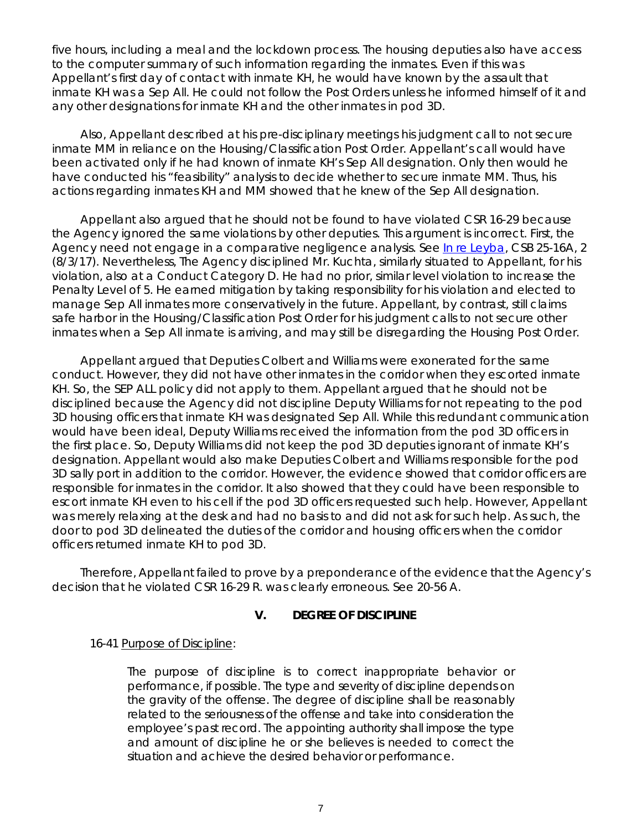five hours, including a meal and the lockdown process. The housing deputies also have access to the computer summary of such information regarding the inmates. Even if this was Appellant's first day of contact with inmate KH, he would have known by the assault that inmate KH was a Sep All. He could not follow the Post Orders unless he informed himself of it and any other designations for inmate KH and the other inmates in pod 3D.

Also, Appellant described at his pre-disciplinary meetings his judgment call to not secure inmate MM in reliance on the Housing/Classification Post Order. Appellant's call would have been activated only if he had known of inmate KH's Sep All designation. Only then would he have conducted his "feasibility" analysis to decide whether to secure inmate MM. Thus, his actions regarding inmates KH and MM showed that he knew of the Sep All designation.

Appellant also argued that he should not be found to have violated CSR 16-29 because the Agency ignored the same violations by other deputies. This argument is incorrect. First, the Agency need not engage in a comparative negligence analysis. *See* [In re Leyba,](https://www.denvergov.org/content/dam/denvergov/Portals/hearings_office/documents/Hearings/Leyba_25-16A_CSB_Decision_8-3-17.pdf) CSB 25-16A, 2 (8/3/17). Nevertheless, The Agency disciplined Mr. Kuchta, similarly situated to Appellant, for his violation, also at a Conduct Category D. He had no prior, similar level violation to increase the Penalty Level of 5. He earned mitigation by taking responsibility for his violation and elected to manage Sep All inmates more conservatively in the future. Appellant, by contrast, still claims safe harbor in the Housing/Classification Post Order for his judgment calls to not secure other inmates when a Sep All inmate is arriving, and may still be disregarding the Housing Post Order.

Appellant argued that Deputies Colbert and Williams were exonerated for the same conduct. However, they did not have other inmates in the corridor when they escorted inmate KH. So, the SEP ALL policy did not apply to them. Appellant argued that he should not be disciplined because the Agency did not discipline Deputy Williams for not repeating to the pod 3D housing officers that inmate KH was designated Sep All. While this redundant communication would have been ideal, Deputy Williams received the information from the pod 3D officers in the first place. So, Deputy Williams did not keep the pod 3D deputies ignorant of inmate KH's designation. Appellant would also make Deputies Colbert and Williams responsible for the pod 3D sally port in addition to the corridor. However, the evidence showed that corridor officers are responsible for inmates in the corridor. It also showed that they could have been responsible to escort inmate KH even to his cell if the pod 3D officers requested such help. However, Appellant was merely relaxing at the desk and had no basis to and did not ask for such help. As such, the door to pod 3D delineated the duties of the corridor and housing officers when the corridor officers returned inmate KH to pod 3D.

Therefore, Appellant failed to prove by a preponderance of the evidence that the Agency's decision that he violated CSR 16-29 R. was clearly erroneous. *See* 20-56 A.

### **V. DEGREE OF DISCIPLINE**

### 16-41 Purpose of Discipline:

The purpose of discipline is to correct inappropriate behavior or performance, if possible. The type and severity of discipline depends on the gravity of the offense. The degree of discipline shall be reasonably related to the seriousness of the offense and take into consideration the employee's past record. The appointing authority shall impose the type and amount of discipline he or she believes is needed to correct the situation and achieve the desired behavior or performance.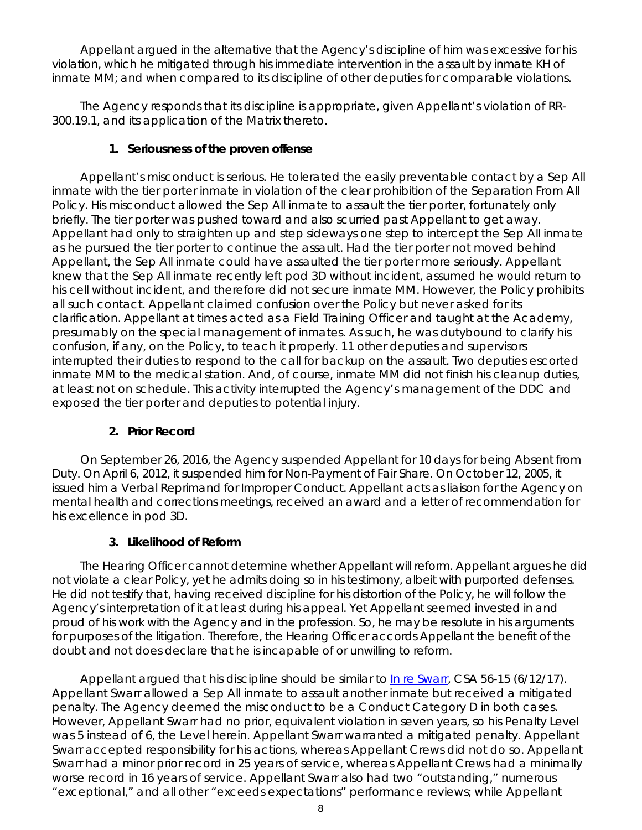Appellant argued in the alternative that the Agency's discipline of him was excessive for his violation, which he mitigated through his immediate intervention in the assault by inmate KH of inmate MM; and when compared to its discipline of other deputies for comparable violations.

The Agency responds that its discipline is appropriate, given Appellant's violation of RR-300.19.1, and its application of the Matrix thereto.

# **1. Seriousness of the proven offense**

Appellant's misconduct is serious. He tolerated the easily preventable contact by a Sep All inmate with the tier porter inmate in violation of the clear prohibition of the Separation From All Policy. His misconduct allowed the Sep All inmate to assault the tier porter, fortunately only briefly. The tier porter was pushed toward and also scurried past Appellant to get away. Appellant had only to straighten up and step sideways one step to intercept the Sep All inmate as he pursued the tier porter to continue the assault. Had the tier porter not moved behind Appellant, the Sep All inmate could have assaulted the tier porter more seriously. Appellant knew that the Sep All inmate recently left pod 3D without incident, assumed he would return to his cell without incident, and therefore did not secure inmate MM. However, the Policy prohibits all such contact. Appellant claimed confusion over the Policy but never asked for its clarification. Appellant at times acted as a Field Training Officer and taught at the Academy, presumably on the special management of inmates. As such, he was dutybound to clarify his confusion, if any, on the Policy, to teach it properly. 11 other deputies and supervisors interrupted their duties to respond to the call for backup on the assault. Two deputies escorted inmate MM to the medical station. And, of course, inmate MM did not finish his cleanup duties, at least not on schedule. This activity interrupted the Agency's management of the DDC and exposed the tier porter and deputies to potential injury.

# **2. Prior Record**

On September 26, 2016, the Agency suspended Appellant for 10 days for being Absent from Duty. On April 6, 2012, it suspended him for Non-Payment of Fair Share. On October 12, 2005, it issued him a Verbal Reprimand for Improper Conduct. Appellant acts as liaison for the Agency on mental health and corrections meetings, received an award and a letter of recommendation for his excellence in pod 3D.

# **3. Likelihood of Reform**

The Hearing Officer cannot determine whether Appellant will reform. Appellant argues he did not violate a clear Policy, yet he admits doing so in his testimony, albeit with purported defenses. He did not testify that, having received discipline for his distortion of the Policy, he will follow the Agency's interpretation of it at least during his appeal. Yet Appellant seemed invested in and proud of his work with the Agency and in the profession. So, he may be resolute in his arguments for purposes of the litigation. Therefore, the Hearing Officer accords Appellant the benefit of the doubt and not does declare that he is incapable of or unwilling to reform.

Appellant argued that his discipline should be similar to [In re Swarr,](https://www.denvergov.org/content/dam/denvergov/Portals/hearings_office/documents/Hearings/Swarr_Luke_56-15_Decision_6-12-17.pdf) CSA 56-15 (6/12/17). Appellant Swarr allowed a Sep All inmate to assault another inmate but received a mitigated penalty. The Agency deemed the misconduct to be a Conduct Category D in both cases. However, Appellant Swarr had no prior, equivalent violation in seven years, so his Penalty Level was 5 instead of 6, the Level herein. Appellant Swarr warranted a mitigated penalty. Appellant Swarr accepted responsibility for his actions, whereas Appellant Crews did not do so. Appellant Swarr had a minor prior record in 25 years of service, whereas Appellant Crews had a minimally worse record in 16 years of service. Appellant Swarr also had two "outstanding," numerous "exceptional," and all other "exceeds expectations" performance reviews; while Appellant